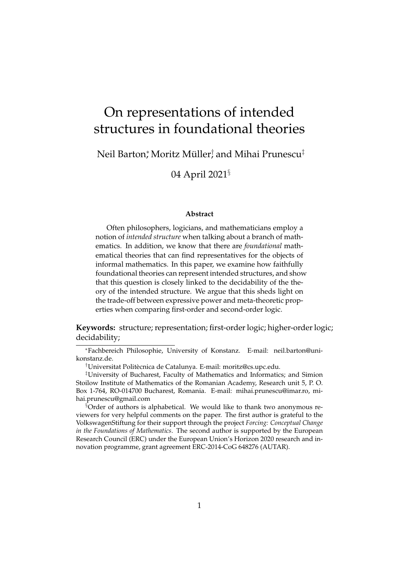# On representations of intended structures in foundational theories

## Neil Barton; Moritz Müller, and Mihai Prunescu $^\ddag$

04 April 2021§

#### **Abstract**

Often philosophers, logicians, and mathematicians employ a notion of *intended structure* when talking about a branch of mathematics. In addition, we know that there are *foundational* mathematical theories that can find representatives for the objects of informal mathematics. In this paper, we examine how faithfully foundational theories can represent intended structures, and show that this question is closely linked to the decidability of the theory of the intended structure. We argue that this sheds light on the trade-off between expressive power and meta-theoretic properties when comparing first-order and second-order logic.

**Keywords:** structure; representation; first-order logic; higher-order logic; decidability;

<sup>∗</sup>Fachbereich Philosophie, University of Konstanz. E-mail: neil.barton@unikonstanz.de.

<sup>&</sup>lt;sup>†</sup>Universitat Politècnica de Catalunya. E-mail: moritz@cs.upc.edu.

<sup>‡</sup>University of Bucharest, Faculty of Mathematics and Informatics; and Simion Stoilow Institute of Mathematics of the Romanian Academy, Research unit 5, P. O. Box 1-764, RO-014700 Bucharest, Romania. E-mail: mihai.prunescu@imar.ro, mihai.prunescu@gmail.com

<sup>§</sup>Order of authors is alphabetical. We would like to thank two anonymous reviewers for very helpful comments on the paper. The first author is grateful to the VolkswagenStiftung for their support through the project *Forcing: Conceptual Change in the Foundations of Mathematics*. The second author is supported by the European Research Council (ERC) under the European Union's Horizon 2020 research and innovation programme, grant agreement ERC-2014-CoG 648276 (AUTAR).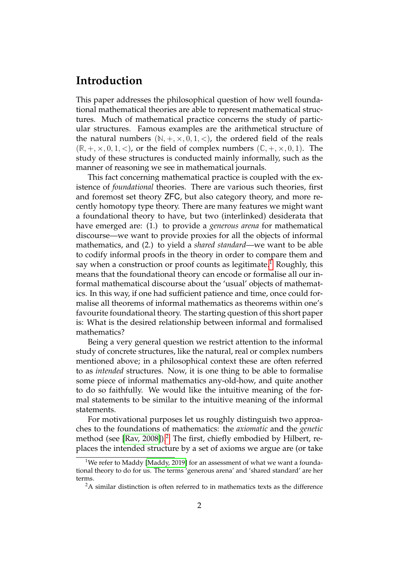# **Introduction**

This paper addresses the philosophical question of how well foundational mathematical theories are able to represent mathematical structures. Much of mathematical practice concerns the study of particular structures. Famous examples are the arithmetical structure of the natural numbers  $(N, +, \times, 0, 1, <)$ , the ordered field of the reals  $(\mathbb{R}, +, \times, 0, 1, <)$ , or the field of complex numbers  $(\mathbb{C}, +, \times, 0, 1)$ . The study of these structures is conducted mainly informally, such as the manner of reasoning we see in mathematical journals.

This fact concerning mathematical practice is coupled with the existence of *foundational* theories. There are various such theories, first and foremost set theory ZFC, but also category theory, and more recently homotopy type theory. There are many features we might want a foundational theory to have, but two (interlinked) desiderata that have emerged are: (1.) to provide a *generous arena* for mathematical discourse—we want to provide proxies for all the objects of informal mathematics, and (2.) to yield a *shared standard*—we want to be able to codify informal proofs in the theory in order to compare them and say when a construction or proof counts as legitimate.<sup>[1](#page-1-0)</sup> Roughly, this means that the foundational theory can encode or formalise all our informal mathematical discourse about the 'usual' objects of mathematics. In this way, if one had sufficient patience and time, once could formalise all theorems of informal mathematics as theorems within one's favourite foundational theory. The starting question of this short paper is: What is the desired relationship between informal and formalised mathematics?

Being a very general question we restrict attention to the informal study of concrete structures, like the natural, real or complex numbers mentioned above; in a philosophical context these are often referred to as *intended* structures. Now, it is one thing to be able to formalise some piece of informal mathematics any-old-how, and quite another to do so faithfully. We would like the intuitive meaning of the formal statements to be similar to the intuitive meaning of the informal statements.

For motivational purposes let us roughly distinguish two approaches to the foundations of mathematics: the *axiomatic* and the *genetic* method (see [\[Rav, 2008\]](#page-16-0)).<sup>[2](#page-1-1)</sup> The first, chiefly embodied by Hilbert, replaces the intended structure by a set of axioms we argue are (or take

<span id="page-1-0"></span><sup>&</sup>lt;sup>1</sup>We refer to Maddy [\[Maddy, 2019\]](#page-15-0) for an assessment of what we want a foundational theory to do for us. The terms 'generous arena' and 'shared standard' are her terms.

<span id="page-1-1"></span> $2A$  similar distinction is often referred to in mathematics texts as the difference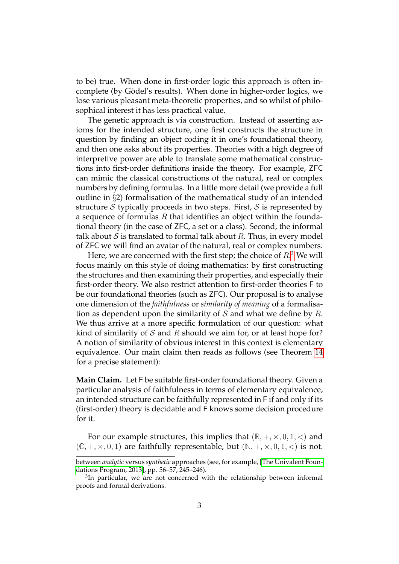to be) true. When done in first-order logic this approach is often incomplete (by Gödel's results). When done in higher-order logics, we lose various pleasant meta-theoretic properties, and so whilst of philosophical interest it has less practical value.

The genetic approach is via construction. Instead of asserting axioms for the intended structure, one first constructs the structure in question by finding an object coding it in one's foundational theory, and then one asks about its properties. Theories with a high degree of interpretive power are able to translate some mathematical constructions into first-order definitions inside the theory. For example, ZFC can mimic the classical constructions of the natural, real or complex numbers by defining formulas. In a little more detail (we provide a full outline in §2) formalisation of the mathematical study of an intended structure S typically proceeds in two steps. First, S is represented by a sequence of formulas  $R$  that identifies an object within the foundational theory (in the case of ZFC, a set or a class). Second, the informal talk about  $S$  is translated to formal talk about  $R$ . Thus, in every model of ZFC we will find an avatar of the natural, real or complex numbers.

Here, we are concerned with the first step; the choice of  $R<sup>3</sup>$  $R<sup>3</sup>$  $R<sup>3</sup>$  We will focus mainly on this style of doing mathematics: by first constructing the structures and then examining their properties, and especially their first-order theory. We also restrict attention to first-order theories F to be our foundational theories (such as ZFC). Our proposal is to analyse one dimension of the *faithfulness* or *similarity of meaning* of a formalisation as dependent upon the similarity of S and what we define by R. We thus arrive at a more specific formulation of our question: what kind of similarity of S and R should we aim for, or at least hope for? A notion of similarity of obvious interest in this context is elementary equivalence. Our main claim then reads as follows (see Theorem [14](#page-10-0) for a precise statement):

**Main Claim.** Let F be suitable first-order foundational theory. Given a particular analysis of faithfulness in terms of elementary equivalence, an intended structure can be faithfully represented in F if and only if its (first-order) theory is decidable and F knows some decision procedure for it.

For our example structures, this implies that  $(\mathbb{R}, +, \times, 0, 1, <)$  and  $(\mathbb{C}, +, \times, 0, 1)$  are faithfully representable, but  $(\mathbb{N}, +, \times, 0, 1, <)$  is not.

between *analytic* versus *synthetic* approaches (see, for example, [\[The Univalent Foun](#page-16-1)[dations Program, 2013\]](#page-16-1), pp. 56–57, 245–246).

<span id="page-2-0"></span> $3$ In particular, we are not concerned with the relationship between informal proofs and formal derivations.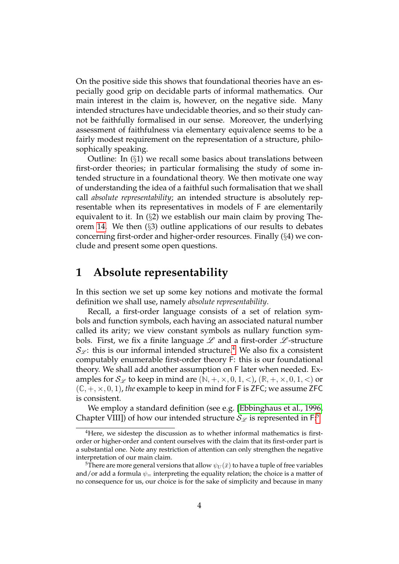On the positive side this shows that foundational theories have an especially good grip on decidable parts of informal mathematics. Our main interest in the claim is, however, on the negative side. Many intended structures have undecidable theories, and so their study cannot be faithfully formalised in our sense. Moreover, the underlying assessment of faithfulness via elementary equivalence seems to be a fairly modest requirement on the representation of a structure, philosophically speaking.

Outline: In (§1) we recall some basics about translations between first-order theories; in particular formalising the study of some intended structure in a foundational theory. We then motivate one way of understanding the idea of a faithful such formalisation that we shall call *absolute representability*; an intended structure is absolutely representable when its representatives in models of F are elementarily equivalent to it. In (§2) we establish our main claim by proving Theorem [14.](#page-10-0) We then (§3) outline applications of our results to debates concerning first-order and higher-order resources. Finally (§4) we conclude and present some open questions.

### **1 Absolute representability**

In this section we set up some key notions and motivate the formal definition we shall use, namely *absolute representability*.

Recall, a first-order language consists of a set of relation symbols and function symbols, each having an associated natural number called its arity; we view constant symbols as nullary function symbols. First, we fix a finite language  $\mathscr L$  and a first-order  $\mathscr L$ -structure  $\mathcal{S}_{\mathscr{L}}$ : this is our informal intended structure.<sup>[4](#page-3-0)</sup> We also fix a consistent computably enumerable first-order theory F: this is our foundational theory. We shall add another assumption on F later when needed. Examples for  $\mathcal{S}_{\mathscr{L}}$  to keep in mind are  $(\mathbb{N}, +, \times, 0, 1, <)$ ,  $(\mathbb{R}, +, \times, 0, 1, <)$  or  $(\mathbb{C}, +, \times, 0, 1)$ , *the* example to keep in mind for F is ZFC; we assume ZFC is consistent.

We employ a standard definition (see e.g. [\[Ebbinghaus et al., 1996,](#page-15-1) Chapter VIII]) of how our intended structure  $\mathcal{S}_{\mathscr{L}}$  is represented in F:<sup>[5](#page-3-1)</sup>

<span id="page-3-0"></span><sup>4</sup>Here, we sidestep the discussion as to whether informal mathematics is firstorder or higher-order and content ourselves with the claim that its first-order part is a substantial one. Note any restriction of attention can only strengthen the negative interpretation of our main claim.

<span id="page-3-1"></span><sup>&</sup>lt;sup>5</sup>There are more general versions that allow  $\psi_U(\bar{x})$  to have a tuple of free variables and/or add a formula  $\psi$  = interpreting the equality relation; the choice is a matter of no consequence for us, our choice is for the sake of simplicity and because in many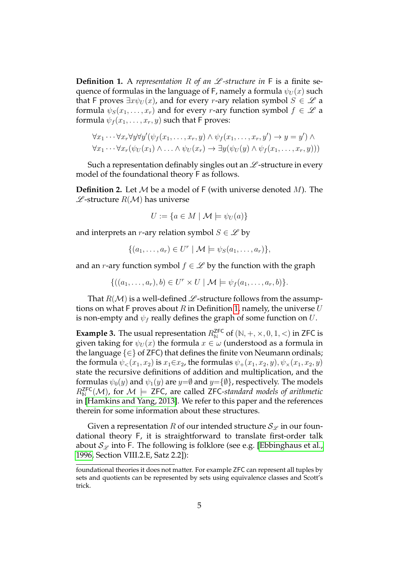<span id="page-4-0"></span>**Definition 1.** A *representation* R of an  $\mathscr L$ -structure in F is a finite sequence of formulas in the language of F, namely a formula  $\psi_U(x)$  such that F proves  $\exists x \psi_U(x)$ , and for every r-ary relation symbol  $S \in \mathscr{L}$  a formula  $\psi_S(x_1, \ldots, x_r)$  and for every r-ary function symbol  $f \in \mathscr{L}$  a formula  $\psi_f(x_1, \ldots, x_r, y)$  such that F proves:

$$
\forall x_1 \cdots \forall x_r \forall y \forall y' (\psi_f(x_1, \ldots, x_r, y) \land \psi_f(x_1, \ldots, x_r, y') \rightarrow y = y') \land \forall x_1 \cdots \forall x_r (\psi_U(x_1) \land \ldots \land \psi_U(x_r) \rightarrow \exists y (\psi_U(y) \land \psi_f(x_1, \ldots, x_r, y)))
$$

Such a representation definably singles out an  $\mathscr L$ -structure in every model of the foundational theory F as follows.

**Definition 2.** Let  $M$  be a model of  $F$  (with universe denoted  $M$ ). The  $L$ -structure  $R(M)$  has universe

$$
U := \{ a \in M \mid \mathcal{M} \models \psi_U(a) \}
$$

and interprets an *r*-ary relation symbol  $S \in \mathcal{L}$  by

$$
\{(a_1,\ldots,a_r)\in U^r\mid \mathcal{M}\models \psi_S(a_1,\ldots,a_r)\},\
$$

and an r-ary function symbol  $f \in \mathcal{L}$  by the function with the graph

$$
\{((a_1,\ldots,a_r),b)\in U^r\times U\mid \mathcal{M}\models \psi_f(a_1,\ldots,a_r,b)\}.
$$

That  $R(\mathcal{M})$  is a well-defined  $\mathcal{L}$ -structure follows from the assumptions on what F proves about  $R$  in Definition [1,](#page-4-0) namely, the universe  $U$ is non-empty and  $\psi_f$  really defines the graph of some function on U.

<span id="page-4-1"></span>**Example 3.** The usual representation  $R_N^{\text{ZFC}}$  of  $(\mathbb{N}, +, \times, 0, 1, <)$  in ZFC is given taking for  $\psi_U(x)$  the formula  $x \in \omega$  (understood as a formula in the language  $\{\in\}$  of ZFC) that defines the finite von Neumann ordinals; the formula  $\psi_<(x_1, x_2)$  is  $x_1 \in x_2$ , the formulas  $\psi_+(x_1, x_2, y), \psi_*(x_1, x_2, y)$ state the recursive definitions of addition and multiplication, and the formulas  $\psi_0(y)$  and  $\psi_1(y)$  are  $y=\emptyset$  and  $y=\{\emptyset\}$ , respectively. The models  $R_{\mathbb{N}}^{\mathsf{ZFC}}(\mathcal{M})$ , for  $\mathcal{M} \models$  ZFC, are called ZFC-standard models of arithmetic in [\[Hamkins and Yang, 2013\]](#page-15-2). We refer to this paper and the references therein for some information about these structures.

Given a representation R of our intended structure  $\mathcal{S}_{\mathscr{L}}$  in our foundational theory F, it is straightforward to translate first-order talk about  $\mathcal{S}_{\mathscr{L}}$  into F. The following is folklore (see e.g. [\[Ebbinghaus et al.,](#page-15-1) [1996,](#page-15-1) Section VIII.2.E, Satz 2.2]):

foundational theories it does not matter. For example ZFC can represent all tuples by sets and quotients can be represented by sets using equivalence classes and Scott's trick.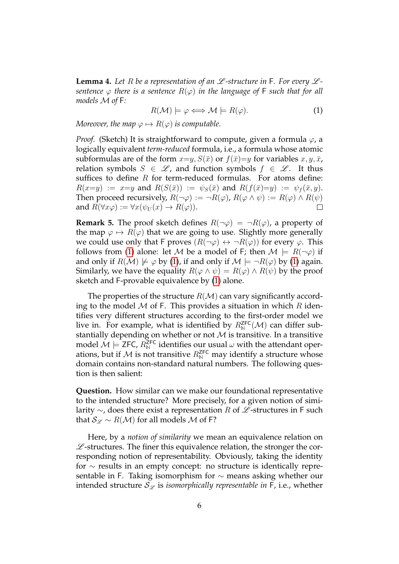<span id="page-5-1"></span>**Lemma 4.** Let R be a representation of an  $\mathscr L$ -structure in F. For every  $\mathscr L$ *sentence*  $\varphi$  *there is a sentence*  $R(\varphi)$  *in the language of* **F** *such that for all models* M *of* F*:*

<span id="page-5-0"></span>
$$
R(\mathcal{M}) \models \varphi \Longleftrightarrow \mathcal{M} \models R(\varphi). \tag{1}
$$

*Moreover, the map*  $\varphi \mapsto R(\varphi)$  *is computable.* 

*Proof.* (Sketch) It is straightforward to compute, given a formula  $\varphi$ , a logically equivalent *term-reduced* formula, i.e., a formula whose atomic subformulas are of the form  $x=y$ ,  $S(\bar{x})$  or  $f(\bar{x})=y$  for variables  $x, y, \bar{x}$ , relation symbols  $S \in \mathcal{L}$ , and function symbols  $f \in \mathcal{L}$ . It thus suffices to define  $R$  for term-reduced formulas. For atoms define:  $R(x=y) := x=y$  and  $R(S(\bar{x})) := \psi_S(\bar{x})$  and  $R(f(\bar{x})=y) := \psi_f(\bar{x}, y)$ . Then proceed recursively,  $R(\neg \varphi) := \neg R(\varphi)$ ,  $R(\varphi \land \psi) := R(\varphi) \land R(\psi)$ and  $R(\forall x \varphi) := \forall x(\psi_U(x) \to R(\varphi)).$  $\Box$ 

<span id="page-5-2"></span>**Remark 5.** The proof sketch defines  $R(\neg \varphi) = \neg R(\varphi)$ , a property of the map  $\varphi \mapsto R(\varphi)$  that we are going to use. Slightly more generally we could use only that F proves  $(R(\neg \varphi) \leftrightarrow \neg R(\varphi))$  for every  $\varphi$ . This follows from [\(1\)](#page-5-0) alone: let M be a model of F; then  $M \models R(\neg \varphi)$  if and only if  $R(\mathcal{M}) \not\models \varphi$  by [\(1\)](#page-5-0), if and only if  $\mathcal{M} \models \neg R(\varphi)$  by (1) again. Similarly, we have the equality  $R(\varphi \wedge \psi) = R(\varphi) \wedge R(\psi)$  by the proof sketch and F-provable equivalence by [\(1\)](#page-5-0) alone.

The properties of the structure  $R(\mathcal{M})$  can vary significantly according to the model  $M$  of F. This provides a situation in which  $R$  identifies very different structures according to the first-order model we live in. For example, what is identified by  $R_{\mathbb{N}}^{\mathsf{ZFC}}(\mathcal{M})$  can differ substantially depending on whether or not  $M$  is transitive. In a transitive model  $\mathcal{M} \models$  ZFC,  $R^{\textsf{ZFC}}_{\mathbb{N}}$  identifies our usual  $\omega$  with the attendant operations, but if  $\mathcal M$  is not transitive  $R_\mathbb N^\mathsf{ZFC}$  may identify a structure whose domain contains non-standard natural numbers. The following question is then salient:

**Question.** How similar can we make our foundational representative to the intended structure? More precisely, for a given notion of similarity  $\sim$ , does there exist a representation R of  $\mathscr L$ -structures in F such that  $\mathcal{S}_{\mathscr{L}} \sim R(\mathcal{M})$  for all models M of F?

Here, by a *notion of similarity* we mean an equivalence relation on  $L$ -structures. The finer this equivalence relation, the stronger the corresponding notion of representability. Obviously, taking the identity for ∼ results in an empty concept: no structure is identically representable in F. Taking isomorphism for ∼ means asking whether our intended structure  $\mathcal{S}_{\mathscr{L}}$  is *isomorphically representable in* F, i.e., whether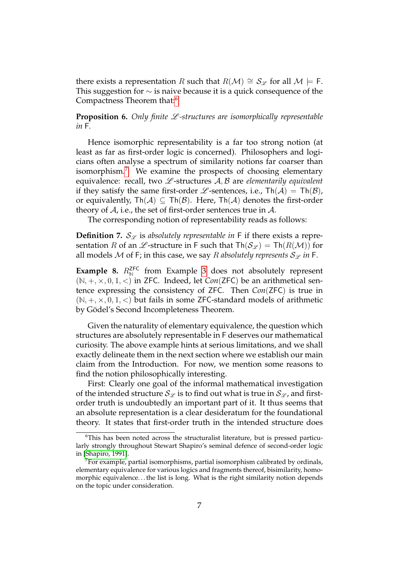there exists a representation R such that  $R(\mathcal{M}) \cong S_{\mathcal{L}}$  for all  $\mathcal{M} \models F$ . This suggestion for  $\sim$  is naive because it is a quick consequence of the Compactness Theorem that:[6](#page-6-0)

**Proposition 6.** Only finite  $L$ -structures are isomorphically representable *in* F*.*

Hence isomorphic representability is a far too strong notion (at least as far as first-order logic is concerned). Philosophers and logicians often analyse a spectrum of similarity notions far coarser than isomorphism.<sup>[7](#page-6-1)</sup> We examine the prospects of choosing elementary equivalence: recall, two  $\mathcal{L}$ -structures  $\mathcal{A}, \mathcal{B}$  are *elementarily equivalent* if they satisfy the same first-order  $\mathscr L$ -sentences, i.e.,  $\text{Th}(\mathcal A) = \text{Th}(\mathcal B)$ , or equivalently,  $\text{Th}(\mathcal{A}) \subseteq \text{Th}(\mathcal{B})$ . Here,  $\text{Th}(\mathcal{A})$  denotes the first-order theory of  $A$ , i.e., the set of first-order sentences true in  $A$ .

The corresponding notion of representability reads as follows:

**Definition 7.**  $S_{\mathscr{L}}$  is absolutely representable in F if there exists a representation R of an  $\mathscr L$ -structure in F such that  $\text{Th}(\mathcal S_{\mathscr L}) = \text{Th}(R(\mathcal M))$  for all models M of F; in this case, we say R *absolutely represents*  $S_{\varphi}$  *in* F.

<span id="page-6-2"></span>**Example 8.**  $R_N^{\text{ZFC}}$  from Example [3](#page-4-1) does not absolutely represent  $(N, +, \times, 0, 1, <)$  in ZFC. Indeed, let *Con*(ZFC) be an arithmetical sentence expressing the consistency of ZFC. Then *Con*(ZFC) is true in  $(N, +, \times, 0, 1, <)$  but fails in some ZFC-standard models of arithmetic by Gödel's Second Incompleteness Theorem.

Given the naturality of elementary equivalence, the question which structures are absolutely representable in F deserves our mathematical curiosity. The above example hints at serious limitations, and we shall exactly delineate them in the next section where we establish our main claim from the Introduction. For now, we mention some reasons to find the notion philosophically interesting.

First: Clearly one goal of the informal mathematical investigation of the intended structure  $\mathcal{S}_{\mathscr{L}}$  is to find out what is true in  $\mathcal{S}_{\mathscr{L}}$ , and firstorder truth is undoubtedly an important part of it. It thus seems that an absolute representation is a clear desideratum for the foundational theory. It states that first-order truth in the intended structure does

<span id="page-6-0"></span><sup>6</sup>This has been noted across the structuralist literature, but is pressed particularly strongly throughout Stewart Shapiro's seminal defence of second-order logic in [\[Shapiro, 1991\]](#page-16-2).

<span id="page-6-1"></span> $7$ For example, partial isomorphisms, partial isomorphism calibrated by ordinals, elementary equivalence for various logics and fragments thereof, bisimilarity, homomorphic equivalence. . . the list is long. What is the right similarity notion depends on the topic under consideration.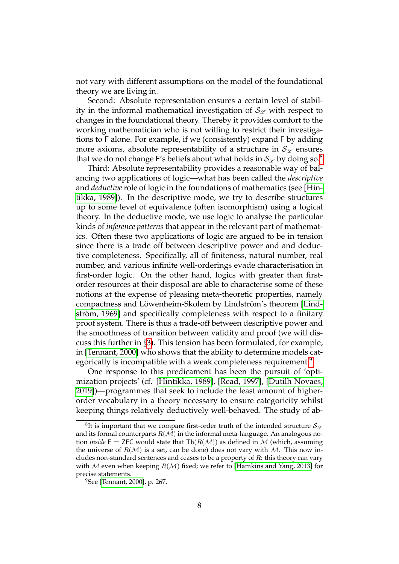not vary with different assumptions on the model of the foundational theory we are living in.

Second: Absolute representation ensures a certain level of stability in the informal mathematical investigation of  $\mathcal{S}_{\mathscr{C}}$  with respect to changes in the foundational theory. Thereby it provides comfort to the working mathematician who is not willing to restrict their investigations to F alone. For example, if we (consistently) expand F by adding more axioms, absolute representability of a structure in  $\mathcal{S}_{\mathscr{L}}$  ensures that we do not change F's beliefs about what holds in  $\mathcal{S}_{\mathcal{C}}$  by doing so.<sup>[8](#page-7-0)</sup>

Third: Absolute representability provides a reasonable way of balancing two applications of logic—what has been called the *descriptive* and *deductive* role of logic in the foundations of mathematics (see [\[Hin](#page-15-3)[tikka, 1989\]](#page-15-3)). In the descriptive mode, we try to describe structures up to some level of equivalence (often isomorphism) using a logical theory. In the deductive mode, we use logic to analyse the particular kinds of *inference patterns* that appear in the relevant part of mathematics. Often these two applications of logic are argued to be in tension since there is a trade off between descriptive power and and deductive completeness. Specifically, all of finiteness, natural number, real number, and various infinite well-orderings evade characterisation in first-order logic. On the other hand, logics with greater than firstorder resources at their disposal are able to characterise some of these notions at the expense of pleasing meta-theoretic properties, namely compactness and Löwenheim-Skolem by Lindström's theorem [\[Lind](#page-15-4) ström, 1969] and specifically completeness with respect to a finitary proof system. There is thus a trade-off between descriptive power and the smoothness of transition between validity and proof (we will discuss this further in §[3\)](#page-11-0). This tension has been formulated, for example, in [\[Tennant, 2000\]](#page-16-3) who shows that the ability to determine models cat-egorically is incompatible with a weak completeness requirement.<sup>[9](#page-7-1)</sup>

One response to this predicament has been the pursuit of 'optimization projects' (cf. [\[Hintikka, 1989\]](#page-15-3), [\[Read, 1997\]](#page-16-4), [\[Dutilh Novaes,](#page-15-5) [2019\]](#page-15-5))—programmes that seek to include the least amount of higherorder vocabulary in a theory necessary to ensure categoricity whilst keeping things relatively deductively well-behaved. The study of ab-

<span id="page-7-0"></span> ${}^8\textrm{It}$  is important that we compare first-order truth of the intended structure  ${\cal S}_{\mathscr{L}}$ and its formal counterparts  $R(\mathcal{M})$  in the informal meta-language. An analogous notion *inside*  $F = ZFC$  would state that  $Th(R(M))$  as defined in M (which, assuming the universe of  $R(\mathcal{M})$  is a set, can be done) does not vary with  $\mathcal{M}$ . This now includes non-standard sentences and ceases to be a property of  $R$ : this theory can vary with M even when keeping  $R(\mathcal{M})$  fixed; we refer to [\[Hamkins and Yang, 2013\]](#page-15-2) for precise statements.

<span id="page-7-1"></span><sup>9</sup>See [\[Tennant, 2000\]](#page-16-3), p. 267.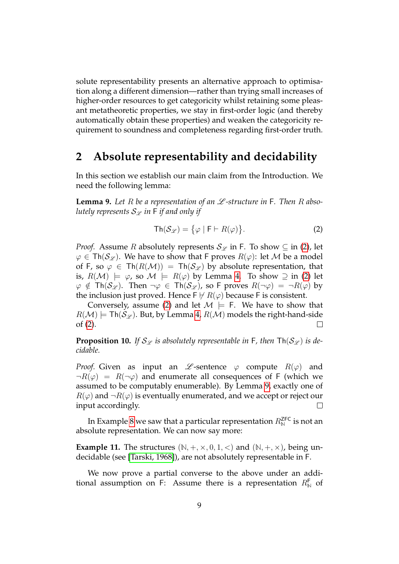solute representability presents an alternative approach to optimisation along a different dimension—rather than trying small increases of higher-order resources to get categoricity whilst retaining some pleasant metatheoretic properties, we stay in first-order logic (and thereby automatically obtain these properties) and weaken the categoricity requirement to soundness and completeness regarding first-order truth.

#### **2 Absolute representability and decidability**

In this section we establish our main claim from the Introduction. We need the following lemma:

<span id="page-8-1"></span>**Lemma 9.** Let R be a representation of an  $\mathscr L$ -structure in F. Then R abso*lutely represents*  $S_{\mathscr{L}}$  *in*  $F$  *if and only if* 

<span id="page-8-0"></span>
$$
\mathsf{Th}(\mathcal{S}_{\mathscr{L}}) = \{ \varphi \mid \mathsf{F} \vdash R(\varphi) \}. \tag{2}
$$

*Proof.* Assume R absolutely represents  $S_{\mathscr{L}}$  in F. To show  $\subseteq$  in [\(2\)](#page-8-0), let  $\varphi \in \mathsf{Th}(\mathcal{S}_{\mathscr{L}})$ . We have to show that F proves  $R(\varphi)$ : let M be a model of F, so  $\varphi \in \text{Th}(R(\mathcal{M})) = \text{Th}(\mathcal{S}_{\mathcal{L}})$  by absolute representation, that is,  $R(\mathcal{M}) \models \varphi$ , so  $\mathcal{M} \models R(\varphi)$  by Lemma [4.](#page-5-1) To show  $\supseteq$  in [\(2\)](#page-8-0) let  $\varphi \notin \text{Th}(\mathcal{S}_{\mathscr{L}})$ . Then  $\neg \varphi \in \text{Th}(\mathcal{S}_{\mathscr{L}})$ , so F proves  $R(\neg \varphi) = \neg R(\varphi)$  by the inclusion just proved. Hence  $\mathsf{F} \not\vdash R(\varphi)$  because F is consistent.

Conversely, assume [\(2\)](#page-8-0) and let  $\mathcal{M} \models$  F. We have to show that  $R(\mathcal{M}) \models \mathsf{Th}(\mathcal{S}_{\mathscr{L}})$ . But, by Lemma [4,](#page-5-1)  $R(\mathcal{M})$  models the right-hand-side of [\(2\)](#page-8-0). П

<span id="page-8-2"></span>**Proposition 10.** If  $S_{\mathscr{L}}$  is absolutely representable in F, then  $\text{Th}(S_{\mathscr{L}})$  is de*cidable.*

*Proof.* Given as input an  $\mathscr L$ -sentence  $\varphi$  compute  $R(\varphi)$  and  $\neg R(\varphi) = R(\neg \varphi)$  and enumerate all consequences of F (which we assumed to be computably enumerable). By Lemma [9,](#page-8-1) exactly one of  $R(\varphi)$  and  $\neg R(\varphi)$  is eventually enumerated, and we accept or reject our input accordingly.  $\Box$ 

In Example [8](#page-6-2) we saw that a particular representation  $R_{\mathbb{N}}^{\mathsf{ZFC}}$  is not an absolute representation. We can now say more:

**Example 11.** The structures  $(\mathbb{N}, +, \times, 0, 1, <)$  and  $(\mathbb{N}, +, \times)$ , being undecidable (see [\[Tarski, 1968\]](#page-16-5)), are not absolutely representable in F.

We now prove a partial converse to the above under an additional assumption on F: Assume there is a representation  $R_{\mathbb{N}}^{\mathsf{F}}$  of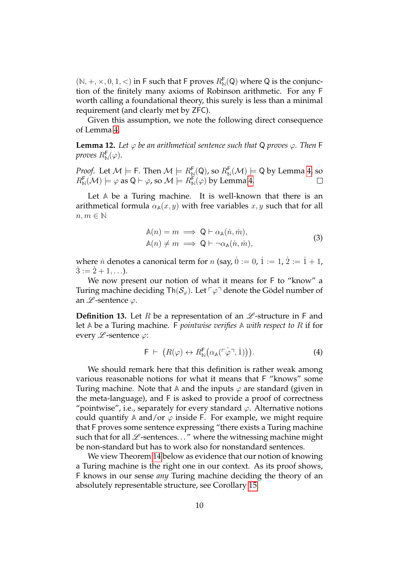$(N, +, \times, 0, 1, <)$  in F such that F proves  $R_N^{\mathsf{F}}(Q)$  where Q is the conjunction of the finitely many axioms of Robinson arithmetic. For any F worth calling a foundational theory, this surely is less than a minimal requirement (and clearly met by ZFC).

Given this assumption, we note the following direct consequence of Lemma [4.](#page-5-1)

<span id="page-9-2"></span>**Lemma 12.** Let  $\varphi$  be an arithmetical sentence such that Q proves  $\varphi$ . Then F *proves*  $R^{\mathsf{F}}_{\mathbb{N}}(\varphi)$ .

*Proof.* Let  $\mathcal{M} \models$  F. Then  $\mathcal{M} \models R_{\mathbb{N}}^{\mathsf{F}}(\mathsf{Q})$ , so  $R_{\mathbb{N}}^{\mathsf{F}}(\mathcal{M}) \models$  Q by Lemma [4,](#page-5-1) so  $R^{\mathsf{F}}_{\mathbb{N}} (\mathcal{M}) \models \varphi$  as  $\mathsf{Q} \vdash \varphi$ , so  $\mathcal{M} \models R^{\mathsf{F}}_{\mathbb{N}}(\varphi)$  by Lemma [4.](#page-5-1)

Let **A** be a Turing machine. It is well-known that there is an arithmetical formula  $\alpha_{\mathbb{A}}(x, y)$  with free variables x, y such that for all  $n, m \in \mathbb{N}$ 

$$
\begin{aligned} \mathbb{A}(n) &= m \implies \mathsf{Q} \vdash \alpha_{\mathbb{A}}(\dot{n}, \dot{m}), \\ \mathbb{A}(n) &\neq m \implies \mathsf{Q} \vdash \neg \alpha_{\mathbb{A}}(\dot{n}, \dot{m}), \end{aligned} \tag{3}
$$

<span id="page-9-1"></span>where  $\dot{n}$  denotes a canonical term for  $n$  (say,  $\dot{0} := 0$ ,  $\dot{1} := 1$ ,  $\dot{2} := \dot{1} + 1$ ,  $\dot{3} := \dot{2} + 1, \ldots$ ).

We now present our notion of what it means for F to "know" a Turing machine deciding Th( $S_{\varphi}$ ). Let  $\lceil \varphi \rceil$  denote the Gödel number of an  $\mathscr L$ -sentence  $\varphi$ .

**Definition 13.** Let R be a representation of an  $\mathscr{L}$ -structure in F and let **A** be a Turing machine. F *pointwise verifies* **A** *with respect to* R if for every  $L$ -sentence  $\varphi$ :

<span id="page-9-0"></span>
$$
\mathsf{F} \vdash (R(\varphi) \leftrightarrow R^{\mathsf{F}}_{\mathbb{N}}(\alpha_{\mathbb{A}}(\ulcorner \varphi \urcorner, 1))). \tag{4}
$$

We should remark here that this definition is rather weak among various reasonable notions for what it means that F "knows" some Turing machine. Note that  $\mathbb{A}$  and the inputs  $\varphi$  are standard (given in the meta-language), and F is asked to provide a proof of correctness "pointwise", i.e., separately for every standard  $\varphi$ . Alternative notions could quantify  $A$  and/or  $\varphi$  inside F. For example, we might require that F proves some sentence expressing "there exists a Turing machine such that for all  $L$ -sentences..." where the witnessing machine might be non-standard but has to work also for nonstandard sentences.

We view Theorem [14](#page-10-0) below as evidence that our notion of knowing a Turing machine is the right one in our context. As its proof shows, F knows in our sense *any* Turing machine deciding the theory of an absolutely representable structure, see Corollary [15.](#page-10-1)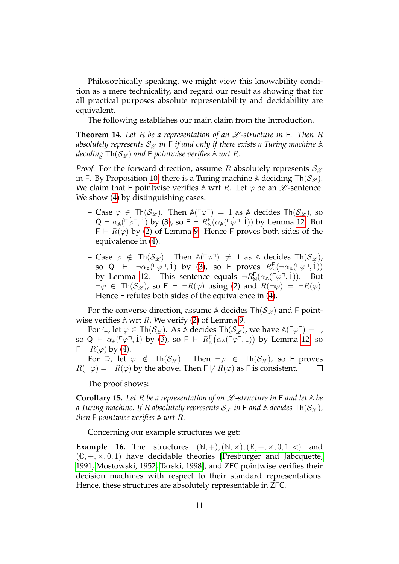Philosophically speaking, we might view this knowability condition as a mere technicality, and regard our result as showing that for all practical purposes absolute representability and decidability are equivalent.

The following establishes our main claim from the Introduction.

<span id="page-10-0"></span>**Theorem 14.** Let R be a representation of an  $\mathscr L$ -structure in F. Then R absolutely represents  $S_{\mathscr{L}}$  *in* F *if and only if there exists a Turing machine* A *deciding*  $\text{Th}(\mathcal{S}_{\mathcal{L}})$  *and* F *pointwise verifies* A *wrt* R.

*Proof.* For the forward direction, assume R absolutely represents  $\mathcal{S}_{\mathscr{L}}$ in F. By Proposition [10,](#page-8-2) there is a Turing machine A deciding  $\text{Th}(\mathcal{S}_{\mathcal{L}})$ . We claim that F pointwise verifies  $\triangle$  wrt R. Let  $\varphi$  be an  $\mathscr{L}$ -sentence. We show  $(4)$  by distinguishing cases.

- Case  $\varphi \in \text{Th}(\mathcal{S}_{\mathscr{L}})$ . Then  $\mathbb{A}(\lceil \varphi \rceil) = 1$  as  $\mathbb{A}$  decides  $\text{Th}(\mathcal{S}_{\mathscr{L}})$ , so  $Q \vdash \alpha_{\mathbb{A}}(\lceil \varphi \rceil, 1)$  by [\(3\)](#page-9-1), so  $\mathsf{F} \vdash R_{\mathbb{N}}^{\mathsf{F}}(\alpha_{\mathbb{A}}(\lceil \varphi \rceil, 1))$  by Lemma [12.](#page-9-2) But  $F \vdash R(\varphi)$  by [\(2\)](#page-8-0) of Lemma [9.](#page-8-1) Hence F proves both sides of the equivalence in [\(4\)](#page-9-0).
- Case  $\varphi$  ∉ Th(S<sub>L</sub>). Then A( $\lceil \varphi \rceil$ ) ≠ 1 as A decides Th(S<sub>L</sub>),  $\text{so } Q \mapsto \neg \alpha_{\mathbb{A}}(\ulcorner \varphi \urcorner, 1) \text{ by } (3)$  $\text{so } Q \mapsto \neg \alpha_{\mathbb{A}}(\ulcorner \varphi \urcorner, 1) \text{ by } (3)$ , so F proves  $R^{\mathsf{F}}_{\mathbb{N}}(\neg \alpha_{\mathbb{A}}(\ulcorner \varphi \urcorner, 1))$ by Lemma [12.](#page-9-2) This sentence equals  $\neg R_{\mathbb{N}}^{\mathsf{F}}(\alpha_{\mathbb{A}}(\vec{r}\varphi^{\mathsf{T}},1)).$  But  $\neg \varphi \in \text{Th}(\mathcal{S}_{\mathscr{L}})$ , so  $F \vdash \neg R(\varphi)$  using [\(2\)](#page-8-0) and  $R(\neg \varphi) = \neg R(\varphi)$ . Hence F refutes both sides of the equivalence in [\(4\)](#page-9-0).

For the converse direction, assume A decides  $\text{Th}(\mathcal{S}_{\mathcal{L}})$  and F pointwise verifies  $\mathbb A$  wrt  $R$ . We verify [\(2\)](#page-8-0) of Lemma [9.](#page-8-1)

For  $\subseteq$ , let  $\varphi \in \text{Th}(\mathcal{S}_{\mathscr{L}})$ . As A decides  $\text{Th}(\mathcal{S}_{\mathscr{L}})$ , we have  $\mathbb{A}(\ulcorner \varphi \urcorner) = 1$ , so Q  $\vdash$   $\alpha_{\mathbb{A}}(\ulcorner \varphi \urcorner, 1)$  by [\(3\)](#page-9-1), so F  $\vdash$   $R^{\mathsf{F}}_{\mathbb{N}}(\alpha_{\mathbb{A}}(\ulcorner \varphi \urcorner, 1))$  by Lemma [12,](#page-9-2) so  $F \vdash R(\varphi)$  by [\(4\)](#page-9-0).

For  $\supseteq$ , let  $\varphi \notin \text{Th}(\mathcal{S}_{\mathscr{L}})$ . Then  $\neg \varphi \in \text{Th}(\mathcal{S}_{\mathscr{L}})$ , so F proves  $R(\neg \varphi) = \neg R(\varphi)$  by the above. Then  $F \nvdash R(\varphi)$  as F is consistent.  $\Box$ 

The proof shows:

<span id="page-10-1"></span>**Corollary 15.** Let R be a representation of an  $\mathscr L$ -structure in F and let  $\mathbb A$  be *a* Turing machine. If R absolutely represents  $S_{\mathscr{L}}$  in F and A decides  $\text{Th}(S_{\mathscr{L}})$ , *then* F *pointwise verifies* **A** *wrt* R*.*

Concerning our example structures we get:

**Example 16.** The structures  $(N, +), (N, \times), (R, +, \times, 0, 1, <)$  and  $(\mathbb{C}, +, \times, 0, 1)$  have decidable theories [\[Presburger and Jabcquette,](#page-16-6) [1991,](#page-16-6) [Mostowski, 1952,](#page-16-7) [Tarski, 1998\]](#page-16-8), and ZFC pointwise verifies their decision machines with respect to their standard representations. Hence, these structures are absolutely representable in ZFC.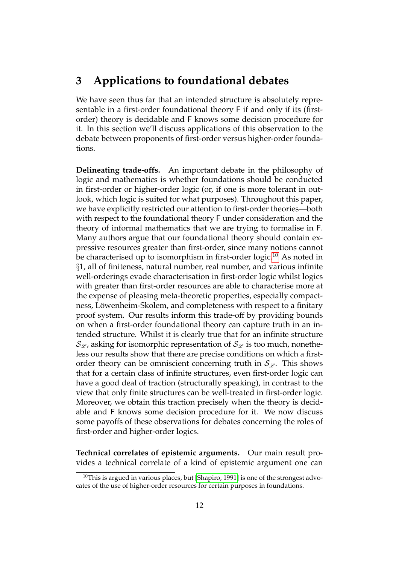#### <span id="page-11-0"></span>**3 Applications to foundational debates**

We have seen thus far that an intended structure is absolutely representable in a first-order foundational theory F if and only if its (firstorder) theory is decidable and F knows some decision procedure for it. In this section we'll discuss applications of this observation to the debate between proponents of first-order versus higher-order foundations.

**Delineating trade-offs.** An important debate in the philosophy of logic and mathematics is whether foundations should be conducted in first-order or higher-order logic (or, if one is more tolerant in outlook, which logic is suited for what purposes). Throughout this paper, we have explicitly restricted our attention to first-order theories—both with respect to the foundational theory F under consideration and the theory of informal mathematics that we are trying to formalise in F. Many authors argue that our foundational theory should contain expressive resources greater than first-order, since many notions cannot be characterised up to isomorphism in first-order logic.<sup>[10](#page-11-1)</sup> As noted in §1, all of finiteness, natural number, real number, and various infinite well-orderings evade characterisation in first-order logic whilst logics with greater than first-order resources are able to characterise more at the expense of pleasing meta-theoretic properties, especially compactness, Löwenheim-Skolem, and completeness with respect to a finitary proof system. Our results inform this trade-off by providing bounds on when a first-order foundational theory can capture truth in an intended structure. Whilst it is clearly true that for an infinite structure  $\mathcal{S}_{\mathscr{L}}$ , asking for isomorphic representation of  $\mathcal{S}_{\mathscr{L}}$  is too much, nonetheless our results show that there are precise conditions on which a firstorder theory can be omniscient concerning truth in  $\mathcal{S}_{\varphi}$ . This shows that for a certain class of infinite structures, even first-order logic can have a good deal of traction (structurally speaking), in contrast to the view that only finite structures can be well-treated in first-order logic. Moreover, we obtain this traction precisely when the theory is decidable and F knows some decision procedure for it. We now discuss some payoffs of these observations for debates concerning the roles of first-order and higher-order logics.

**Technical correlates of epistemic arguments.** Our main result provides a technical correlate of a kind of epistemic argument one can

<span id="page-11-1"></span> $10$ This is argued in various places, but [\[Shapiro, 1991\]](#page-16-2) is one of the strongest advocates of the use of higher-order resources for certain purposes in foundations.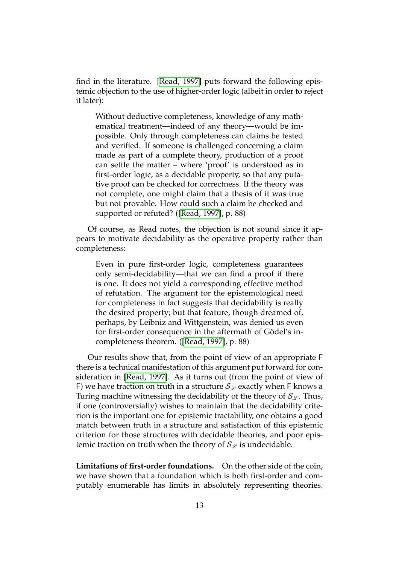find in the literature. [\[Read, 1997\]](#page-16-4) puts forward the following epistemic objection to the use of higher-order logic (albeit in order to reject it later):

Without deductive completeness, knowledge of any mathematical treatment—indeed of any theory—would be impossible. Only through completeness can claims be tested and verified. If someone is challenged concerning a claim made as part of a complete theory, production of a proof can settle the matter – where 'proof' is understood as in first-order logic, as a decidable property, so that any putative proof can be checked for correctness. If the theory was not complete, one might claim that a thesis of it was true but not provable. How could such a claim be checked and supported or refuted? ([\[Read, 1997\]](#page-16-4), p. 88)

Of course, as Read notes, the objection is not sound since it appears to motivate decidability as the operative property rather than completeness:

Even in pure first-order logic, completeness guarantees only semi-decidability—that we can find a proof if there is one. It does not yield a corresponding effective method of refutation. The argument for the epistemological need for completeness in fact suggests that decidability is really the desired property; but that feature, though dreamed of, perhaps, by Leibniz and Wittgenstein, was denied us even for first-order consequence in the aftermath of Gödel's incompleteness theorem. ([\[Read, 1997\]](#page-16-4), p. 88)

Our results show that, from the point of view of an appropriate F there is a technical manifestation of this argument put forward for consideration in [\[Read, 1997\]](#page-16-4). As it turns out (from the point of view of F) we have traction on truth in a structure  $\mathcal{S}_{\mathscr{L}}$  exactly when F knows a Turing machine witnessing the decidability of the theory of  $\mathcal{S}_{\mathscr{L}}$ . Thus, if one (controversially) wishes to maintain that the decidability criterion is the important one for epistemic tractability, one obtains a good match between truth in a structure and satisfaction of this epistemic criterion for those structures with decidable theories, and poor epistemic traction on truth when the theory of  $\mathcal{S}_{\mathscr{L}}$  is undecidable.

**Limitations of first-order foundations.** On the other side of the coin, we have shown that a foundation which is both first-order and computably enumerable has limits in absolutely representing theories.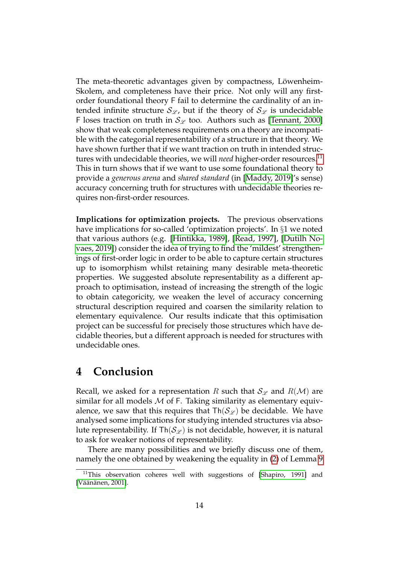The meta-theoretic advantages given by compactness, Löwenheim-Skolem, and completeness have their price. Not only will any firstorder foundational theory F fail to determine the cardinality of an intended infinite structure  $\mathcal{S}_{\mathscr{L}}$ , but if the theory of  $\mathcal{S}_{\mathscr{L}}$  is undecidable F loses traction on truth in  $S_{\mathscr{L}}$  too. Authors such as [\[Tennant, 2000\]](#page-16-3) show that weak completeness requirements on a theory are incompatible with the categorial representability of a structure in that theory. We have shown further that if we want traction on truth in intended structures with undecidable theories, we will *need* higher-order resources.[11](#page-13-0) This in turn shows that if we want to use some foundational theory to provide a *generous arena* and *shared standard* (in [\[Maddy, 2019\]](#page-15-0)'s sense) accuracy concerning truth for structures with undecidable theories requires non-first-order resources.

**Implications for optimization projects.** The previous observations have implications for so-called 'optimization projects'. In §1 we noted that various authors (e.g. [\[Hintikka, 1989\]](#page-15-3), [\[Read, 1997\]](#page-16-4), [\[Dutilh No](#page-15-5)[vaes, 2019\]](#page-15-5)) consider the idea of trying to find the 'mildest' strengthenings of first-order logic in order to be able to capture certain structures up to isomorphism whilst retaining many desirable meta-theoretic properties. We suggested absolute representability as a different approach to optimisation, instead of increasing the strength of the logic to obtain categoricity, we weaken the level of accuracy concerning structural description required and coarsen the similarity relation to elementary equivalence. Our results indicate that this optimisation project can be successful for precisely those structures which have decidable theories, but a different approach is needed for structures with undecidable ones.

#### **4 Conclusion**

Recall, we asked for a representation R such that  $\mathcal{S}_{\mathscr{L}}$  and  $R(\mathcal{M})$  are similar for all models  $M$  of F. Taking similarity as elementary equivalence, we saw that this requires that  $\text{Th}(\mathcal{S}_{\mathcal{L}})$  be decidable. We have analysed some implications for studying intended structures via absolute representability. If  $\text{Th}(\mathcal{S}_{\mathscr{L}})$  is not decidable, however, it is natural to ask for weaker notions of representability.

There are many possibilities and we briefly discuss one of them, namely the one obtained by weakening the equality in [\(2\)](#page-8-0) of Lemma [9](#page-8-1)

<span id="page-13-0"></span> $11$ This observation coheres well with suggestions of [\[Shapiro, 1991\]](#page-16-2) and [Väänänen, 2001].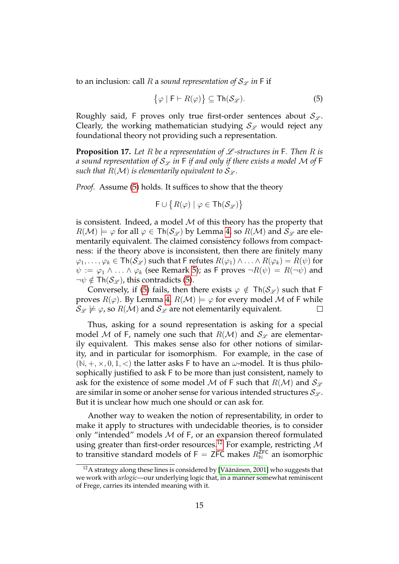to an inclusion: call R a *sound representation of*  $\mathcal{S}_{\mathscr{L}}$  *in* F if

<span id="page-14-0"></span>
$$
\{\varphi \mid \mathsf{F} \vdash R(\varphi)\} \subseteq \mathsf{Th}(\mathcal{S}_{\mathscr{L}}). \tag{5}
$$

Roughly said, F proves only true first-order sentences about  $\mathcal{S}_{\mathscr{L}}$ . Clearly, the working mathematician studying  $\mathcal{S}_{\mathscr{L}}$  would reject any foundational theory not providing such a representation.

**Proposition 17.** Let  $R$  be a representation of  $L$ -structures in  $F$ . Then  $R$  is *a* sound representation of  $S_{\mathscr{L}}$  in F if and only if there exists a model M of F *such that*  $R(\mathcal{M})$  *is elementarily equivalent to*  $\mathcal{S}_{\mathscr{L}}$ *.* 

*Proof.* Assume [\(5\)](#page-14-0) holds. It suffices to show that the theory

$$
\mathsf{F} \cup \big\{ R(\varphi) \mid \varphi \in \mathsf{Th}(\mathcal{S}_{\mathscr{L}}) \big\}
$$

is consistent. Indeed, a model  $M$  of this theory has the property that  $R(\mathcal{M}) \models \varphi$  for all  $\varphi \in \mathsf{Th}(\mathcal{S}_{\mathscr{L}})$  by Lemma [4,](#page-5-1) so  $R(\mathcal{M})$  and  $\mathcal{S}_{\mathscr{L}}$  are elementarily equivalent. The claimed consistency follows from compactness: if the theory above is inconsistent, then there are finitely many  $\varphi_1, \ldots, \varphi_k \in \mathsf{Th}(\mathcal{S}_{\mathscr{L}})$  such that F refutes  $R(\varphi_1) \wedge \ldots \wedge R(\varphi_k) = R(\psi)$  for  $\psi := \varphi_1 \wedge \ldots \wedge \varphi_k$  (see Remark [5\)](#page-5-2); as F proves  $\neg R(\psi) = R(\neg \psi)$  and  $\neg \psi \notin \mathsf{Th}(\mathcal{S}_{\mathscr{L}})$ , this contradicts [\(5\)](#page-14-0).

Conversely, if [\(5\)](#page-14-0) fails, then there exists  $\varphi \notin Th(\mathcal{S}_{\varphi})$  such that F proves  $R(\varphi)$ . By Lemma [4,](#page-5-1)  $R(\mathcal{M}) \models \varphi$  for every model M of F while  $\mathcal{S}_{\mathscr{L}}\not\models \varphi$ , so  $R(\mathcal{M})$  and  $\mathcal{S}_{\mathscr{L}}$  are not elementarily equivalent.  $\Box$ 

Thus, asking for a sound representation is asking for a special model M of F, namely one such that  $R(\mathcal{M})$  and  $\mathcal{S}_{\mathcal{L}}$  are elementarily equivalent. This makes sense also for other notions of similarity, and in particular for isomorphism. For example, in the case of  $(N, +, \times, 0, 1, <)$  the latter asks F to have an  $\omega$ -model. It is thus philosophically justified to ask F to be more than just consistent, namely to ask for the existence of some model M of F such that  $R(\mathcal{M})$  and  $\mathcal{S}_{\mathcal{L}}$ are similar in some or anoher sense for various intended structures  ${\cal S}_{\varphi}$ . But it is unclear how much one should or can ask for.

Another way to weaken the notion of representability, in order to make it apply to structures with undecidable theories, is to consider only "intended" models M of F, or an expansion thereof formulated using greater than first-order resources.<sup>[12](#page-14-1)</sup> For example, restricting  $M$ to transitive standard models of  $F = ZFC$  makes  $R_N^{ZFC}$  an isomorphic

<span id="page-14-1"></span> $12A$  strategy along these lines is considered by [Väänänen, 2001] who suggests that we work with *urlogic*—our underlying logic that, in a manner somewhat reminiscent of Frege, carries its intended meaning with it.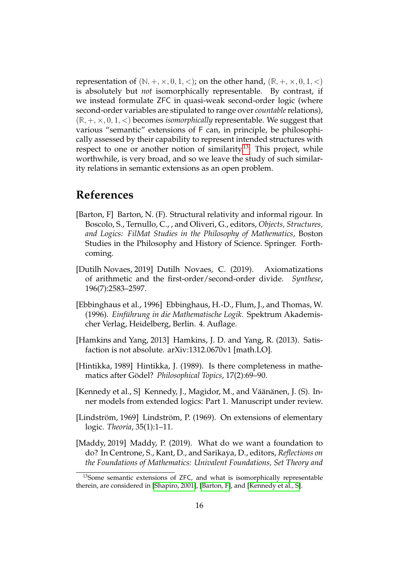representation of  $(N, +, \times, 0, 1, <)$ ; on the other hand,  $(R, +, \times, 0, 1, <)$ is absolutely but *not* isomorphically representable. By contrast, if we instead formulate ZFC in quasi-weak second-order logic (where second-order variables are stipulated to range over *countable*relations),  $(R, +, \times, 0, 1, <)$  becomes *isomorphically* representable. We suggest that various "semantic" extensions of F can, in principle, be philosophically assessed by their capability to represent intended structures with respect to one or another notion of similarity.<sup>[13](#page-15-6)</sup> This project, while worthwhile, is very broad, and so we leave the study of such similarity relations in semantic extensions as an open problem.

#### **References**

- <span id="page-15-7"></span>[Barton, F] Barton, N. (F). Structural relativity and informal rigour. In Boscolo, S., Ternullo, C., , and Oliveri, G., editors, *Objects, Structures, and Logics: FilMat Studies in the Philosophy of Mathematics*, Boston Studies in the Philosophy and History of Science. Springer. Forthcoming.
- <span id="page-15-5"></span>[Dutilh Novaes, 2019] Dutilh Novaes, C. (2019). Axiomatizations of arithmetic and the first-order/second-order divide. *Synthese*, 196(7):2583–2597.
- <span id="page-15-1"></span>[Ebbinghaus et al., 1996] Ebbinghaus, H.-D., Flum, J., and Thomas, W. (1996). *Einführung in die Mathematische Logik*. Spektrum Akademischer Verlag, Heidelberg, Berlin. 4. Auflage.
- <span id="page-15-2"></span>[Hamkins and Yang, 2013] Hamkins, J. D. and Yang, R. (2013). Satisfaction is not absolute. arXiv:1312.0670v1 [math.LO].
- <span id="page-15-3"></span>[Hintikka, 1989] Hintikka, J. (1989). Is there completeness in mathematics after Gödel? *Philosophical Topics*, 17(2):69–90.
- <span id="page-15-8"></span>[Kennedy et al., S] Kennedy, J., Magidor, M., and Väänänen, J. (S). Inner models from extended logics: Part 1. Manuscript under review.
- <span id="page-15-4"></span>[Lindström, 1969] Lindström, P. (1969). On extensions of elementary logic. *Theoria*, 35(1):1–11.
- <span id="page-15-0"></span>[Maddy, 2019] Maddy, P. (2019). What do we want a foundation to do? In Centrone, S., Kant, D., and Sarikaya, D., editors, *Reflections on the Foundations of Mathematics: Univalent Foundations, Set Theory and*

<span id="page-15-6"></span><sup>&</sup>lt;sup>13</sup>Some semantic extensions of ZFC, and what is isomorphically representable therein, are considered in [\[Shapiro, 2001\]](#page-16-10), [\[Barton, F\]](#page-15-7), and [\[Kennedy et al., S\]](#page-15-8).